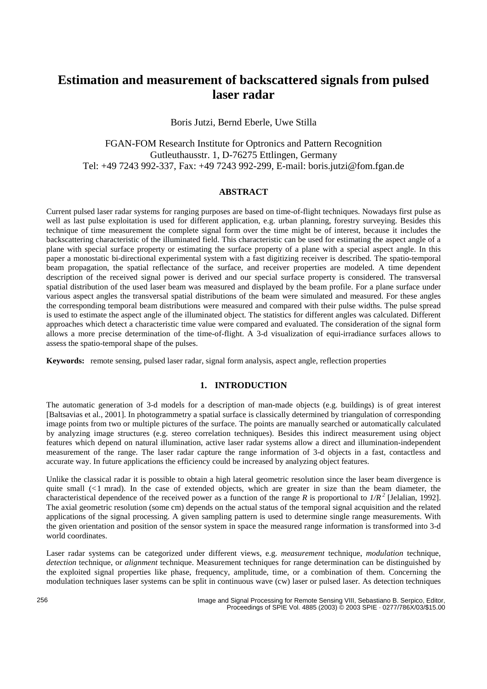# **Estimation and measurement of backscattered signals from pulsed laser radar**

Boris Jutzi, Bernd Eberle, Uwe Stilla

FGAN-FOM Research Institute for Optronics and Pattern Recognition Gutleuthausstr. 1, D-76275 Ettlingen, Germany Tel: +49 7243 992-337, Fax: +49 7243 992-299, E-mail: boris.jutzi@fom.fgan.de

# **ABSTRACT**

Current pulsed laser radar systems for ranging purposes are based on time-of-flight techniques. Nowadays first pulse as well as last pulse exploitation is used for different application, e.g. urban planning, forestry surveying. Besides this technique of time measurement the complete signal form over the time might be of interest, because it includes the backscattering characteristic of the illuminated field. This characteristic can be used for estimating the aspect angle of a plane with special surface property or estimating the surface property of a plane with a special aspect angle. In this paper a monostatic bi-directional experimental system with a fast digitizing receiver is described. The spatio-temporal beam propagation, the spatial reflectance of the surface, and receiver properties are modeled. A time dependent description of the received signal power is derived and our special surface property is considered. The transversal spatial distribution of the used laser beam was measured and displayed by the beam profile. For a plane surface under various aspect angles the transversal spatial distributions of the beam were simulated and measured. For these angles the corresponding temporal beam distributions were measured and compared with their pulse widths. The pulse spread is used to estimate the aspect angle of the illuminated object. The statistics for different angles was calculated. Different approaches which detect a characteristic time value were compared and evaluated. The consideration of the signal form allows a more precise determination of the time-of-flight. A 3-d visualization of equi-irradiance surfaces allows to assess the spatio-temporal shape of the pulses.

**Keywords:** remote sensing, pulsed laser radar, signal form analysis, aspect angle, reflection properties

# **1. INTRODUCTION**

The automatic generation of 3-d models for a description of man-made objects (e.g. buildings) is of great interest [Baltsavias et al., 2001]. In photogrammetry a spatial surface is classically determined by triangulation of corresponding image points from two or multiple pictures of the surface. The points are manually searched or automatically calculated by analyzing image structures (e.g. stereo correlation techniques). Besides this indirect measurement using object features which depend on natural illumination, active laser radar systems allow a direct and illumination-independent measurement of the range. The laser radar capture the range information of 3-d objects in a fast, contactless and accurate way. In future applications the efficiency could be increased by analyzing object features.

Unlike the classical radar it is possible to obtain a high lateral geometric resolution since the laser beam divergence is quite small (< 1 mrad). In the case of extended objects, which are greater in size than the beam diameter, the characteristical dependence of the received power as a function of the range R is proportional to  $1/R^2$  [Jelalian, 1992]. The axial geometric resolution (some cm) depends on the actual status of the temporal signal acquisition and the related applications of the signal processing. A given sampling pattern is used to determine single range measurements. With the given orientation and position of the sensor system in space the measured range information is transformed into 3-d world coordinates.

Laser radar systems can be categorized under different views, e.g. *measurement* technique, *modulation* technique, *detection* technique, or *alignment* technique. Measurement techniques for range determination can be distinguished by the exploited signal properties like phase, frequency, amplitude, time, or a combination of them. Concerning the modulation techniques laser systems can be split in continuous wave (cw) laser or pulsed laser. As detection techniques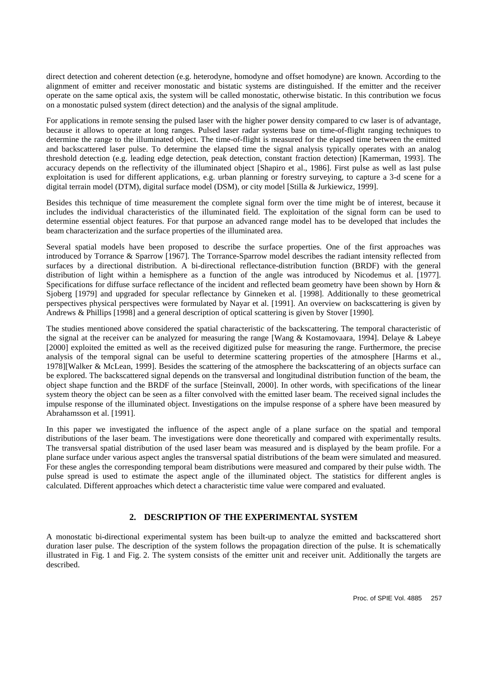direct detection and coherent detection (e.g. heterodyne, homodyne and offset homodyne) are known. According to the alignment of emitter and receiver monostatic and bistatic systems are distinguished. If the emitter and the receiver operate on the same optical axis, the system will be called monostatic, otherwise bistatic. In this contribution we focus on a monostatic pulsed system (direct detection) and the analysis of the signal amplitude.

For applications in remote sensing the pulsed laser with the higher power density compared to cw laser is of advantage, because it allows to operate at long ranges. Pulsed laser radar systems base on time-of-flight ranging techniques to determine the range to the illuminated object. The time-of-flight is measured for the elapsed time between the emitted and backscattered laser pulse. To determine the elapsed time the signal analysis typically operates with an analog threshold detection (e.g. leading edge detection, peak detection, constant fraction detection) [Kamerman, 1993]. The accuracy depends on the reflectivity of the illuminated object [Shapiro et al., 1986]. First pulse as well as last pulse exploitation is used for different applications, e.g. urban planning or forestry surveying, to capture a 3-d scene for a digital terrain model (DTM), digital surface model (DSM), or city model [Stilla & Jurkiewicz, 1999].

Besides this technique of time measurement the complete signal form over the time might be of interest, because it includes the individual characteristics of the illuminated field. The exploitation of the signal form can be used to determine essential object features. For that purpose an advanced range model has to be developed that includes the beam characterization and the surface properties of the illuminated area.

Several spatial models have been proposed to describe the surface properties. One of the first approaches was introduced by Torrance & Sparrow [1967]. The Torrance-Sparrow model describes the radiant intensity reflected from surfaces by a directional distribution. A bi-directional reflectance-distribution function (BRDF) with the general distribution of light within a hemisphere as a function of the angle was introduced by Nicodemus et al. [1977]. Specifications for diffuse surface reflectance of the incident and reflected beam geometry have been shown by Horn & Sjoberg [1979] and upgraded for specular reflectance by Ginneken et al. [1998]. Additionally to these geometrical perspectives physical perspectives were formulated by Nayar et al. [1991]. An overview on backscattering is given by Andrews & Phillips [1998] and a general description of optical scattering is given by Stover [1990].

The studies mentioned above considered the spatial characteristic of the backscattering. The temporal characteristic of the signal at the receiver can be analyzed for measuring the range [Wang & Kostamovaara, 1994]. Delaye & Labeye [2000] exploited the emitted as well as the received digitized pulse for measuring the range. Furthermore, the precise analysis of the temporal signal can be useful to determine scattering properties of the atmosphere [Harms et al., 1978][Walker & McLean, 1999]. Besides the scattering of the atmosphere the backscattering of an objects surface can be explored. The backscattered signal depends on the transversal and longitudinal distribution function of the beam, the object shape function and the BRDF of the surface [Steinvall, 2000]. In other words, with specifications of the linear system theory the object can be seen as a filter convolved with the emitted laser beam. The received signal includes the impulse response of the illuminated object. Investigations on the impulse response of a sphere have been measured by Abrahamsson et al. [1991].

In this paper we investigated the influence of the aspect angle of a plane surface on the spatial and temporal distributions of the laser beam. The investigations were done theoretically and compared with experimentally results. The transversal spatial distribution of the used laser beam was measured and is displayed by the beam profile. For a plane surface under various aspect angles the transversal spatial distributions of the beam were simulated and measured. For these angles the corresponding temporal beam distributions were measured and compared by their pulse width. The pulse spread is used to estimate the aspect angle of the illuminated object. The statistics for different angles is calculated. Different approaches which detect a characteristic time value were compared and evaluated.

# **2. DESCRIPTION OF THE EXPERIMENTAL SYSTEM**

A monostatic bi-directional experimental system has been built-up to analyze the emitted and backscattered short duration laser pulse. The description of the system follows the propagation direction of the pulse. It is schematically illustrated in Fig. 1 and Fig. 2. The system consists of the emitter unit and receiver unit. Additionally the targets are described.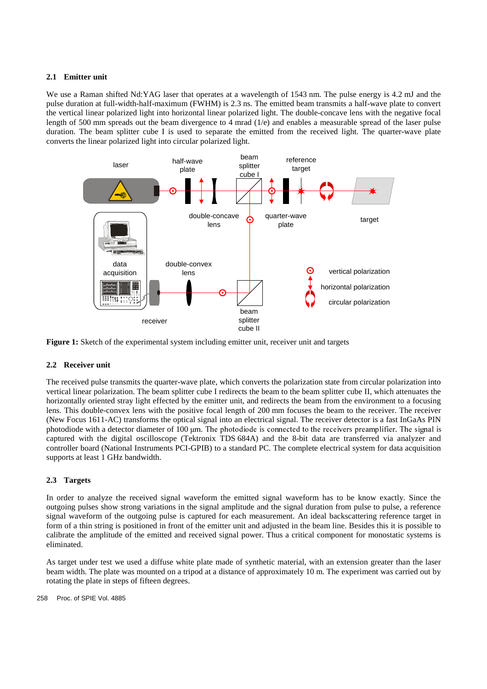### **2.1 Emitter unit**

We use a Raman shifted Nd:YAG laser that operates at a wavelength of 1543 nm. The pulse energy is 4.2 mJ and the pulse duration at full-width-half-maximum (FWHM) is 2.3 ns. The emitted beam transmits a half-wave plate to convert the vertical linear polarized light into horizontal linear polarized light. The double-concave lens with the negative focal length of 500 mm spreads out the beam divergence to 4 mrad (1/e) and enables a measurable spread of the laser pulse duration. The beam splitter cube I is used to separate the emitted from the received light. The quarter-wave plate converts the linear polarized light into circular polarized light.



**Figure 1:** Sketch of the experimental system including emitter unit, receiver unit and targets

# **2.2 Receiver unit**

The received pulse transmits the quarter-wave plate, which converts the polarization state from circular polarization into vertical linear polarization. The beam splitter cube I redirects the beam to the beam splitter cube II, which attenuates the horizontally oriented stray light effected by the emitter unit, and redirects the beam from the environment to a focusing lens. This double-convex lens with the positive focal length of 200 mm focuses the beam to the receiver. The receiver (New Focus 1611-AC) transforms the optical signal into an electrical signal. The receiver detector is a fast InGaAs PIN photodiode with a detector diameter of 100  $\mu$ m. The photodiode is connected to the receivers preamplifier. The signal is captured with the digital oscilloscope (Tektronix TDS 684A) and the 8-bit data are transferred via analyzer and controller board (National Instruments PCI-GPIB) to a standard PC. The complete electrical system for data acquisition supports at least 1 GHz bandwidth.

# **2.3 Targets**

In order to analyze the received signal waveform the emitted signal waveform has to be know exactly. Since the outgoing pulses show strong variations in the signal amplitude and the signal duration from pulse to pulse, a reference signal waveform of the outgoing pulse is captured for each measurement. An ideal backscattering reference target in form of a thin string is positioned in front of the emitter unit and adjusted in the beam line. Besides this it is possible to calibrate the amplitude of the emitted and received signal power. Thus a critical component for monostatic systems is eliminated.

As target under test we used a diffuse white plate made of synthetic material, with an extension greater than the laser beam width. The plate was mounted on a tripod at a distance of approximately 10 m. The experiment was carried out by rotating the plate in steps of fifteen degrees.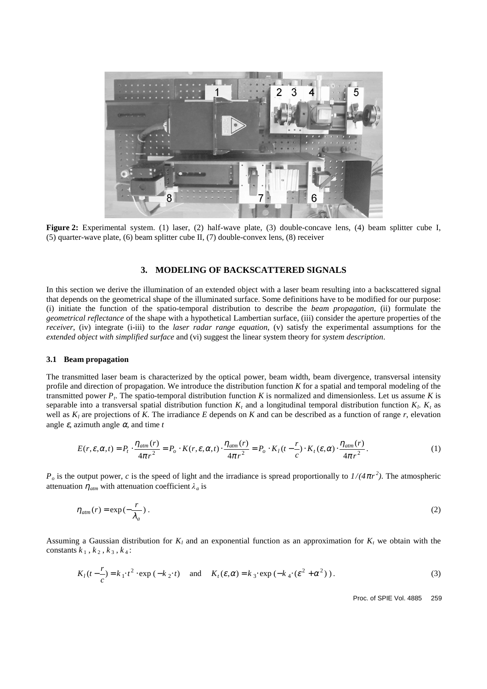

**Figure 2:** Experimental system. (1) laser, (2) half-wave plate, (3) double-concave lens, (4) beam splitter cube I, (5) quarter-wave plate, (6) beam splitter cube II, (7) double-convex lens, (8) receiver

### **3. MODELING OF BACKSCATTERED SIGNALS**

In this section we derive the illumination of an extended object with a laser beam resulting into a backscattered signal that depends on the geometrical shape of the illuminated surface. Some definitions have to be modified for our purpose: (i) initiate the function of the spatio-temporal distribution to describe the *beam propagation*, (ii) formulate the *geometrical reflectance* of the shape with a hypothetical Lambertian surface, (iii) consider the aperture properties of the *receiver*, (iv) integrate (i-iii) to the *laser radar range equation*, (v) satisfy the experimental assumptions for the *extended object with simplified surface* and (vi) suggest the linear system theory for *system description*.

#### **3.1 Beam propagation**

The transmitted laser beam is characterized by the optical power, beam width, beam divergence, transversal intensity profile and direction of propagation. We introduce the distribution function *K* for a spatial and temporal modeling of the transmitted power  $P_t$ . The spatio-temporal distribution function  $K$  is normalized and dimensionless. Let us assume  $K$  is separable into a transversal spatial distribution function  $K_t$  and a longitudinal temporal distribution function  $K_t$ .  $K_t$  as well as  $K_l$  are projections of K. The irradiance E depends on K and can be described as a function of range  $r$ , elevation angle  $\varepsilon$ , azimuth angle  $\alpha$ , and time  $t$ 

$$
E(r,\varepsilon,\alpha,t) = P_t \cdot \frac{\eta_{\text{atm}}(r)}{4\pi r^2} = P_o \cdot K(r,\varepsilon,\alpha,t) \cdot \frac{\eta_{\text{atm}}(r)}{4\pi r^2} = P_o \cdot K_l(t-\frac{r}{c}) \cdot K_r(\varepsilon,\alpha) \cdot \frac{\eta_{\text{atm}}(r)}{4\pi r^2}.
$$
 (1)

 $P_o$  is the output power, *c* is the speed of light and the irradiance is spread proportionally to  $1/(4\pi r^2)$ . The atmospheric attenuation  $\eta_{\text{atm}}$  with attenuation coefficient  $\lambda_a$  is

$$
\eta_{\text{atm}}(r) = \exp\left(-\frac{r}{\lambda_a}\right). \tag{2}
$$

Assuming a Gaussian distribution for  $K_l$  and an exponential function as an approximation for  $K_l$  we obtain with the constants  $k_1$ ,  $k_2$ ,  $k_3$ ,  $k_4$ :

$$
K_{1}(t - \frac{r}{c}) = k_{1} \cdot t^{2} \cdot \exp(-k_{2} \cdot t) \quad \text{and} \quad K_{t}(\varepsilon, \alpha) = k_{3} \cdot \exp(-k_{4} \cdot (\varepsilon^{2} + \alpha^{2})) \,. \tag{3}
$$

Proc. of SPIE Vol. 4885 259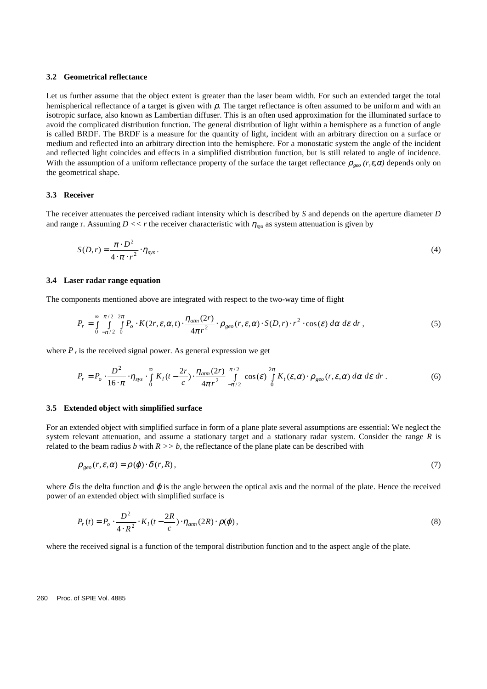### **3.2 Geometrical reflectance**

Let us further assume that the object extent is greater than the laser beam width. For such an extended target the total hemispherical reflectance of a target is given with  $\rho$ . The target reflectance is often assumed to be uniform and with an isotropic surface, also known as Lambertian diffuser. This is an often used approximation for the illuminated surface to avoid the complicated distribution function. The general distribution of light within a hemisphere as a function of angle is called BRDF. The BRDF is a measure for the quantity of light, incident with an arbitrary direction on a surface or medium and reflected into an arbitrary direction into the hemisphere. For a monostatic system the angle of the incident and reflected light coincides and effects in a simplified distribution function, but is still related to angle of incidence. With the assumption of a uniform reflectance property of the surface the target reflectance  $\rho_{geo}(r, \varepsilon, \alpha)$  depends only on the geometrical shape.

#### **3.3 Receiver**

The receiver attenuates the perceived radiant intensity which is described by *S* and depends on the aperture diameter *D* and range r. Assuming  $D \ll r$  the receiver characteristic with  $\eta_{sys}$  as system attenuation is given by

$$
S(D,r) = \frac{\pi \cdot D^2}{4 \cdot \pi \cdot r^2} \cdot \eta_{sys} \,. \tag{4}
$$

#### **3.4 Laser radar range equation**

The components mentioned above are integrated with respect to the two-way time of flight

$$
P_r = \int_{0}^{\infty} \int_{-\pi/2}^{\pi/2} \int_{0}^{2\pi} P_o \cdot K(2r, \varepsilon, \alpha, t) \cdot \frac{\eta_{\text{atm}}(2r)}{4\pi r^2} \cdot \rho_{\text{geo}}(r, \varepsilon, \alpha) \cdot S(D, r) \cdot r^2 \cdot \cos(\varepsilon) d\alpha d\varepsilon dr,
$$
 (5)

where  $P_r$  is the received signal power. As general expression we get

$$
P_r = P_o \cdot \frac{D^2}{16 \cdot \pi} \cdot \eta_{sys} \cdot \int_{0}^{\infty} K_l(t - \frac{2r}{c}) \cdot \frac{\eta_{atm}(2r)}{4\pi r^2} \int_{-\pi/2}^{\pi/2} \cos(\varepsilon) \int_{0}^{2\pi} K_l(\varepsilon, \alpha) \cdot \rho_{geo}(r, \varepsilon, \alpha) d\alpha d\varepsilon dr
$$
 (6)

#### **3.5 Extended object with simplified surface**

For an extended object with simplified surface in form of a plane plate several assumptions are essential: We neglect the system relevant attenuation, and assume a stationary target and a stationary radar system. Consider the range *R* is related to the beam radius *b* with  $R \gg b$ , the reflectance of the plane plate can be described with

$$
\rho_{geo}(r, \varepsilon, \alpha) = \rho(\varphi) \cdot \delta(r, R), \tag{7}
$$

where  $\delta$  is the delta function and  $\varphi$  is the angle between the optical axis and the normal of the plate. Hence the received power of an extended object with simplified surface is

$$
P_r(t) = P_o \cdot \frac{D^2}{4 \cdot R^2} \cdot K_l(t - \frac{2R}{c}) \cdot \eta_{atm}(2R) \cdot \rho(\varphi), \qquad (8)
$$

where the received signal is a function of the temporal distribution function and to the aspect angle of the plate.

260 Proc. of SPIE Vol. 4885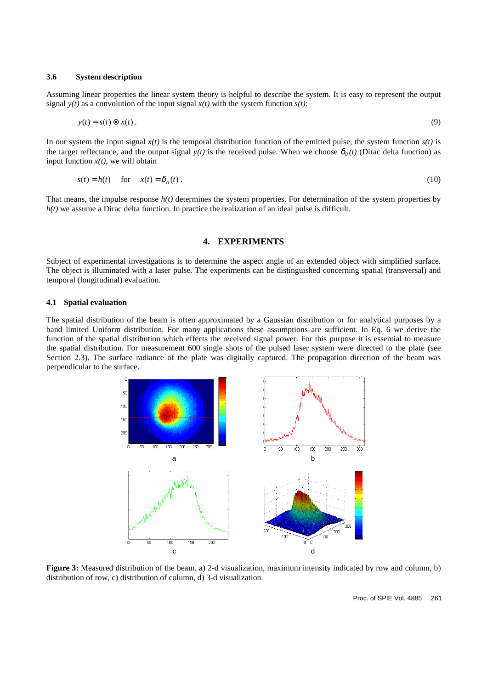### **3.6 System description**

Assuming linear properties the linear system theory is helpful to describe the system. It is easy to represent the output signal  $y(t)$  as a convolution of the input signal  $x(t)$  with the system function  $s(t)$ :

$$
y(t) = s(t) \otimes x(t). \tag{9}
$$

In our system the input signal  $x(t)$  is the temporal distribution function of the emitted pulse, the system function  $s(t)$  is the target reflectance, and the output signal  $y(t)$  is the received pulse. When we choose  $\delta_{0}(t)$  (Dirac delta function) as input function  $x(t)$ , we will obtain

$$
s(t) = h(t) \quad \text{for} \quad x(t) = \delta_o(t) \,. \tag{10}
$$

That means, the impulse response *h(t)* determines the system properties. For determination of the system properties by *h(t)* we assume a Dirac delta function. In practice the realization of an ideal pulse is difficult.

#### **4. EXPERIMENTS**

Subject of experimental investigations is to determine the aspect angle of an extended object with simplified surface. The object is illuminated with a laser pulse. The experiments can be distinguished concerning spatial (transversal) and temporal (longitudinal) evaluation.

#### **4.1 Spatial evaluation**

The spatial distribution of the beam is often approximated by a Gaussian distribution or for analytical purposes by a band limited Uniform distribution. For many applications these assumptions are sufficient. In Eq. 6 we derive the function of the spatial distribution which effects the received signal power. For this purpose it is essential to measure the spatial distribution. For measurement 600 single shots of the pulsed laser system were directed to the plate (see Section 2.3). The surface radiance of the plate was digitally captured. The propagation direction of the beam was perpendicular to the surface.



**Figure 3:** Measured distribution of the beam. a) 2-d visualization, maximum intensity indicated by row and column, b) distribution of row, c) distribution of column, d) 3-d visualization.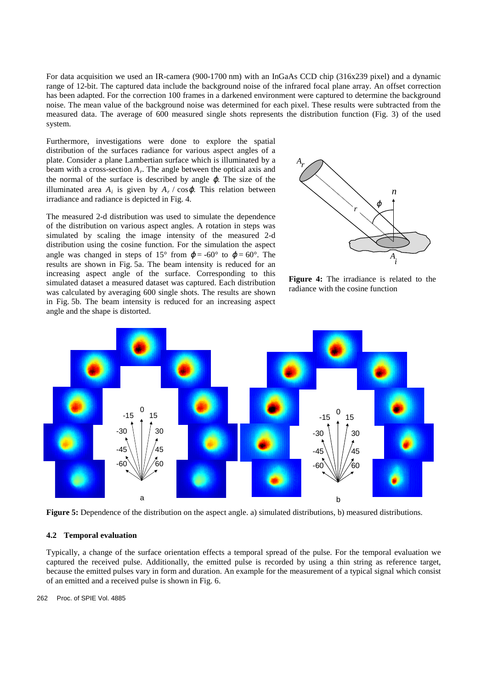For data acquisition we used an IR-camera (900-1700 nm) with an InGaAs CCD chip (316x239 pixel) and a dynamic range of 12-bit. The captured data include the background noise of the infrared focal plane array. An offset correction has been adapted. For the correction 100 frames in a darkened environment were captured to determine the background noise. The mean value of the background noise was determined for each pixel. These results were subtracted from the measured data. The average of 600 measured single shots represents the distribution function (Fig. 3) of the used system.

Furthermore, investigations were done to explore the spatial distribution of the surfaces radiance for various aspect angles of a plate. Consider a plane Lambertian surface which is illuminated by a beam with a cross-section *Ar*. The angle between the optical axis and the normal of the surface is described by angle  $\varphi$ . The size of the illuminated area  $A_i$  is given by  $A_r / \cos \varphi$ . This relation between irradiance and radiance is depicted in Fig. 4.

The measured 2-d distribution was used to simulate the dependence of the distribution on various aspect angles. A rotation in steps was simulated by scaling the image intensity of the measured 2-d distribution using the cosine function. For the simulation the aspect angle was changed in steps of 15° from  $\varphi = -60^{\circ}$  to  $\varphi = 60^{\circ}$ . The results are shown in Fig. 5a. The beam intensity is reduced for an increasing aspect angle of the surface. Corresponding to this simulated dataset a measured dataset was captured. Each distribution was calculated by averaging 600 single shots. The results are shown in Fig. 5b. The beam intensity is reduced for an increasing aspect angle and the shape is distorted.



**Figure 4:** The irradiance is related to the radiance with the cosine function



**Figure 5:** Dependence of the distribution on the aspect angle. a) simulated distributions, b) measured distributions.

# **4.2 Temporal evaluation**

Typically, a change of the surface orientation effects a temporal spread of the pulse. For the temporal evaluation we captured the received pulse. Additionally, the emitted pulse is recorded by using a thin string as reference target, because the emitted pulses vary in form and duration. An example for the measurement of a typical signal which consist of an emitted and a received pulse is shown in Fig. 6.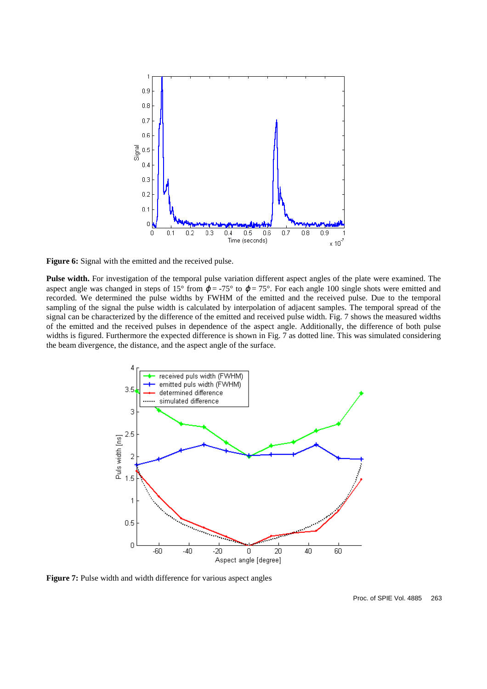

**Figure 6:** Signal with the emitted and the received pulse.

**Pulse width.** For investigation of the temporal pulse variation different aspect angles of the plate were examined. The aspect angle was changed in steps of 15° from  $\varphi = -75^\circ$  to  $\varphi = 75^\circ$ . For each angle 100 single shots were emitted and recorded. We determined the pulse widths by FWHM of the emitted and the received pulse. Due to the temporal sampling of the signal the pulse width is calculated by interpolation of adjacent samples. The temporal spread of the signal can be characterized by the difference of the emitted and received pulse width. Fig. 7 shows the measured widths of the emitted and the received pulses in dependence of the aspect angle. Additionally, the difference of both pulse widths is figured. Furthermore the expected difference is shown in Fig. 7 as dotted line. This was simulated considering the beam divergence, the distance, and the aspect angle of the surface.



**Figure 7:** Pulse width and width difference for various aspect angles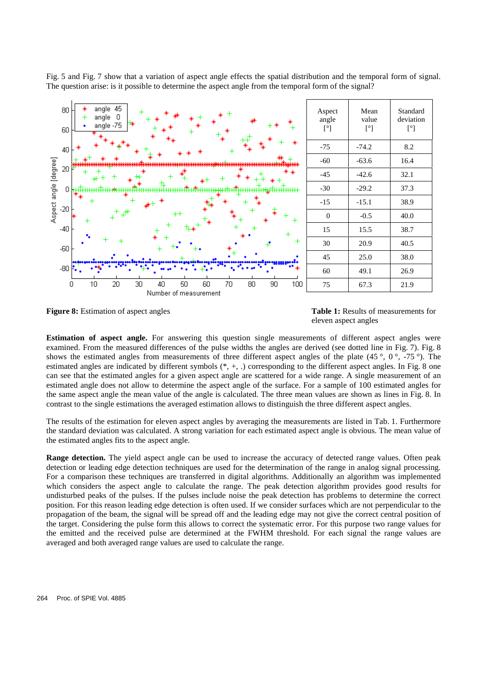Fig. 5 and Fig. 7 show that a variation of aspect angle effects the spatial distribution and the temporal form of signal. The question arise: is it possible to determine the aspect angle from the temporal form of the signal?



**Figure 8:** Estimation of aspect angles **Table 1:** Results of measurements for

eleven aspect angles

**Estimation of aspect angle.** For answering this question single measurements of different aspect angles were examined. From the measured differences of the pulse widths the angles are derived (see dotted line in Fig. 7). Fig. 8 shows the estimated angles from measurements of three different aspect angles of the plate (45  $\degree$ , 0  $\degree$ , -75  $\degree$ ). The estimated angles are indicated by different symbols (\*, +, .) corresponding to the different aspect angles. In Fig. 8 one can see that the estimated angles for a given aspect angle are scattered for a wide range. A single measurement of an estimated angle does not allow to determine the aspect angle of the surface. For a sample of 100 estimated angles for the same aspect angle the mean value of the angle is calculated. The three mean values are shown as lines in Fig. 8. In contrast to the single estimations the averaged estimation allows to distinguish the three different aspect angles.

The results of the estimation for eleven aspect angles by averaging the measurements are listed in Tab. 1. Furthermore the standard deviation was calculated. A strong variation for each estimated aspect angle is obvious. The mean value of the estimated angles fits to the aspect angle.

**Range detection.** The yield aspect angle can be used to increase the accuracy of detected range values. Often peak detection or leading edge detection techniques are used for the determination of the range in analog signal processing. For a comparison these techniques are transferred in digital algorithms. Additionally an algorithm was implemented which considers the aspect angle to calculate the range. The peak detection algorithm provides good results for undisturbed peaks of the pulses. If the pulses include noise the peak detection has problems to determine the correct position. For this reason leading edge detection is often used. If we consider surfaces which are not perpendicular to the propagation of the beam, the signal will be spread off and the leading edge may not give the correct central position of the target. Considering the pulse form this allows to correct the systematic error. For this purpose two range values for the emitted and the received pulse are determined at the FWHM threshold. For each signal the range values are averaged and both averaged range values are used to calculate the range.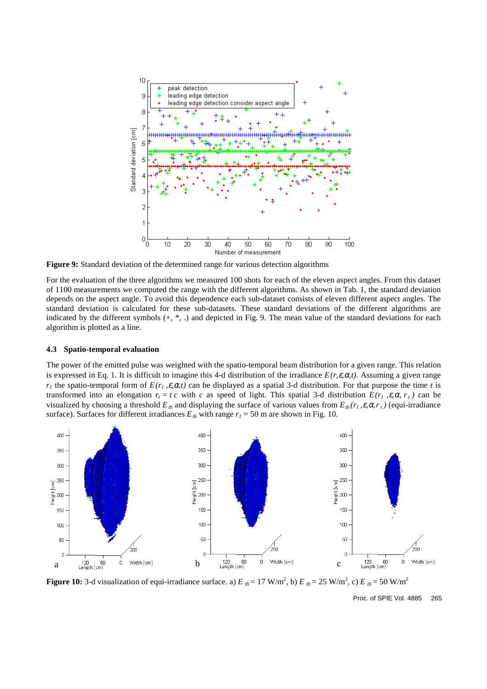

**Figure 9:** Standard deviation of the determined range for various detection algorithms

For the evaluation of the three algorithms we measured 100 shots for each of the eleven aspect angles. From this dataset of 1100 measurements we computed the range with the different algorithms. As shown in Tab. 1, the standard deviation depends on the aspect angle. To avoid this dependence each sub-dataset consists of eleven different aspect angles. The standard deviation is calculated for these sub-datasets. These standard deviations of the different algorithms are indicated by the different symbols (+, \*, .) and depicted in Fig. 9. The mean value of the standard deviations for each algorithm is plotted as a line.

#### **4.3 Spatio-temporal evaluation**

The power of the emitted pulse was weighted with the spatio-temporal beam distribution for a given range. This relation is expressed in Eq. 1. It is difficult to imagine this 4-d distribution of the irradiance  $E(r, \varepsilon, \alpha, t)$ . Assuming a given range  $r_1$  the spatio-temporal form of  $E(r_1, \varepsilon, \alpha, t)$  can be displayed as a spatial 3-d distribution. For that purpose the time *t* is transformed into an elongation  $r_t = t c$  with c as speed of light. This spatial 3-d distribution  $E(r_t, \varepsilon, \alpha, r_t)$  can be visualized by choosing a threshold  $E_{th}$  and displaying the surface of various values from  $E_{th}(r_1, \varepsilon, \alpha, r_1)$  (equi-irradiance surface). Surfaces for different irradiances  $E_{th}$  with range  $r_1 = 50$  m are shown in Fig. 10.



**Figure 10:** 3-d visualization of equi-irradiance surface. a)  $E_{th} = 17 \text{ W/m}^2$ , b)  $E_{th} = 25 \text{ W/m}^2$ , c)  $E_{th} = 50 \text{ W/m}^2$ 

Proc. of SPIE Vol. 4885 265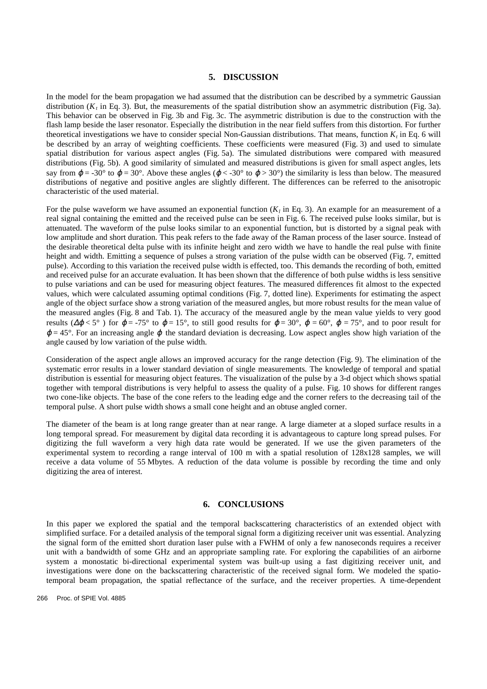# **5. DISCUSSION**

In the model for the beam propagation we had assumed that the distribution can be described by a symmetric Gaussian distribution  $(K_t$  in Eq. 3). But, the measurements of the spatial distribution show an asymmetric distribution (Fig. 3a). This behavior can be observed in Fig. 3b and Fig. 3c. The asymmetric distribution is due to the construction with the flash lamp beside the laser resonator. Especially the distribution in the near field suffers from this distortion. For further theoretical investigations we have to consider special Non-Gaussian distributions. That means, function  $K_t$  in Eq. 6 will be described by an array of weighting coefficients. These coefficients were measured (Fig. 3) and used to simulate spatial distribution for various aspect angles (Fig. 5a). The simulated distributions were compared with measured distributions (Fig. 5b). A good similarity of simulated and measured distributions is given for small aspect angles, lets say from  $\varphi = -30^\circ$  to  $\varphi = 30^\circ$ . Above these angles ( $\varphi < -30^\circ$  to  $\varphi > 30^\circ$ ) the similarity is less than below. The measured distributions of negative and positive angles are slightly different. The differences can be referred to the anisotropic characteristic of the used material.

For the pulse waveform we have assumed an exponential function  $(K<sub>l</sub>$  in Eq. 3). An example for an measurement of a real signal containing the emitted and the received pulse can be seen in Fig. 6. The received pulse looks similar, but is attenuated. The waveform of the pulse looks similar to an exponential function, but is distorted by a signal peak with low amplitude and short duration. This peak refers to the fade away of the Raman process of the laser source. Instead of the desirable theoretical delta pulse with its infinite height and zero width we have to handle the real pulse with finite height and width. Emitting a sequence of pulses a strong variation of the pulse width can be observed (Fig. 7, emitted pulse). According to this variation the received pulse width is effected, too. This demands the recording of both, emitted and received pulse for an accurate evaluation. It has been shown that the difference of both pulse widths is less sensitive to pulse variations and can be used for measuring object features. The measured differences fit almost to the expected values, which were calculated assuming optimal conditions (Fig. 7, dotted line). Experiments for estimating the aspect angle of the object surface show a strong variation of the measured angles, but more robust results for the mean value of the measured angles (Fig. 8 and Tab. 1). The accuracy of the measured angle by the mean value yields to very good results ( $\Delta \varphi < 5^{\circ}$ ) for  $\varphi = -75^{\circ}$  to  $\varphi = 15^{\circ}$ , to still good results for  $\varphi = 30^{\circ}$ ,  $\varphi = 60^{\circ}$ ,  $\varphi = 75^{\circ}$ , and to poor result for  $\varphi = 45^{\circ}$ . For an increasing angle  $\varphi$  the standard deviation is decreasing. Low aspect angles show high variation of the angle caused by low variation of the pulse width.

Consideration of the aspect angle allows an improved accuracy for the range detection (Fig. 9). The elimination of the systematic error results in a lower standard deviation of single measurements. The knowledge of temporal and spatial distribution is essential for measuring object features. The visualization of the pulse by a 3-d object which shows spatial together with temporal distributions is very helpful to assess the quality of a pulse. Fig. 10 shows for different ranges two cone-like objects. The base of the cone refers to the leading edge and the corner refers to the decreasing tail of the temporal pulse. A short pulse width shows a small cone height and an obtuse angled corner.

The diameter of the beam is at long range greater than at near range. A large diameter at a sloped surface results in a long temporal spread. For measurement by digital data recording it is advantageous to capture long spread pulses. For digitizing the full waveform a very high data rate would be generated. If we use the given parameters of the experimental system to recording a range interval of 100 m with a spatial resolution of 128x128 samples, we will receive a data volume of 55 Mbytes. A reduction of the data volume is possible by recording the time and only digitizing the area of interest.

# **6. CONCLUSIONS**

In this paper we explored the spatial and the temporal backscattering characteristics of an extended object with simplified surface. For a detailed analysis of the temporal signal form a digitizing receiver unit was essential. Analyzing the signal form of the emitted short duration laser pulse with a FWHM of only a few nanoseconds requires a receiver unit with a bandwidth of some GHz and an appropriate sampling rate. For exploring the capabilities of an airborne system a monostatic bi-directional experimental system was built-up using a fast digitizing receiver unit, and investigations were done on the backscattering characteristic of the received signal form. We modeled the spatiotemporal beam propagation, the spatial reflectance of the surface, and the receiver properties. A time-dependent